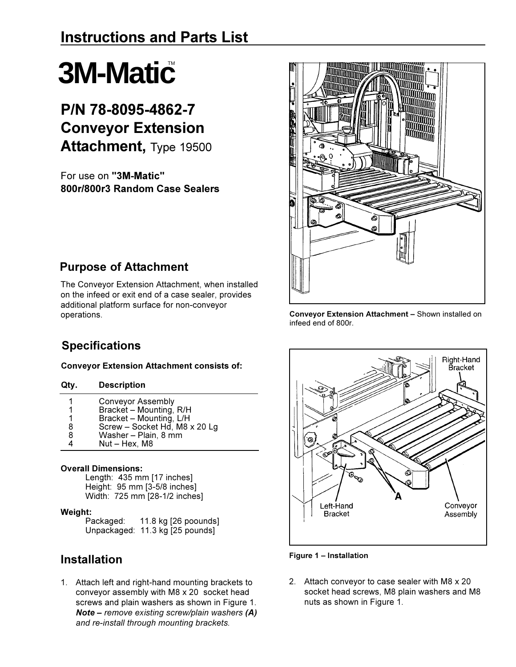# **3M-Matic**

## P/N 78-8095-4862-7 **Conveyor Extension Attachment, Type 19500**

For use on "3M-Matic" 800r/800r3 Random Case Sealers



## **Purpose of Attachment**

The Conveyor Extension Attachment, when installed on the infeed or exit end of a case sealer, provides additional platform surface for non-conveyor operations.

Conveyor Extension Attachment - Shown installed on infeed end of 800r.

## **Specifications**

#### **Conveyor Extension Attachment consists of:**

- $\mathbf{1}$ **Conveyor Assembly**
- $\mathbf 1$ Bracket - Mounting, R/H
- Bracket Mounting, L/H<br>Screw Socket Hd, M8 x 20 Lg  $\mathbf 1$
- 8
- Washer Plain, 8 mm 8 4 Nut - Hex, M8

#### **Overall Dimensions:**

Length: 435 mm [17 inches] Height: 95 mm [3-5/8 inches] Width: 725 mm [28-1/2 inches]

#### Weight:

11.8 kg [26 poounds] Packaged: Unpackaged: 11.3 kg [25 pounds]

## **Installation**

1. Attach left and right-hand mounting brackets to conveyor assembly with M8 x 20 socket head screws and plain washers as shown in Figure 1. **Note - remove existing screw/plain washers (A)** and re-install through mounting brackets.





2. Attach conveyor to case sealer with M8 x 20 socket head screws, M8 plain washers and M8 nuts as shown in Figure 1.